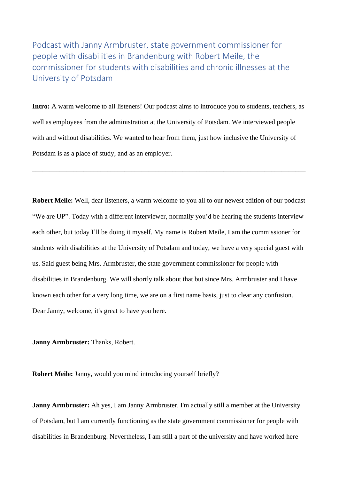Podcast with Janny Armbruster, state government commissioner for people with disabilities in Brandenburg with Robert Meile, the commissioner for students with disabilities and chronic illnesses at the University of Potsdam

**Intro:** A warm welcome to all listeners! Our podcast aims to introduce you to students, teachers, as well as employees from the administration at the University of Potsdam. We interviewed people with and without disabilities. We wanted to hear from them, just how inclusive the University of Potsdam is as a place of study, and as an employer.

\_\_\_\_\_\_\_\_\_\_\_\_\_\_\_\_\_\_\_\_\_\_\_\_\_\_\_\_\_\_\_\_\_\_\_\_\_\_\_\_\_\_\_\_\_\_\_\_\_\_\_\_\_\_\_\_\_\_\_\_\_\_\_\_\_\_\_\_\_\_\_\_\_\_\_\_\_\_\_\_

**Robert Meile:** Well, dear listeners, a warm welcome to you all to our newest edition of our podcast "We are UP". Today with a different interviewer, normally you'd be hearing the students interview each other, but today I'll be doing it myself. My name is Robert Meile, I am the commissioner for students with disabilities at the University of Potsdam and today, we have a very special guest with us. Said guest being Mrs. Armbruster, the state government commissioner for people with disabilities in Brandenburg. We will shortly talk about that but since Mrs. Armbruster and I have known each other for a very long time, we are on a first name basis, just to clear any confusion. Dear Janny, welcome, it's great to have you here.

**Janny Armbruster:** Thanks, Robert.

**Robert Meile:** Janny, would you mind introducing yourself briefly?

**Janny Armbruster:** Ah yes, I am Janny Armbruster. I'm actually still a member at the University of Potsdam, but I am currently functioning as the state government commissioner for people with disabilities in Brandenburg. Nevertheless, I am still a part of the university and have worked here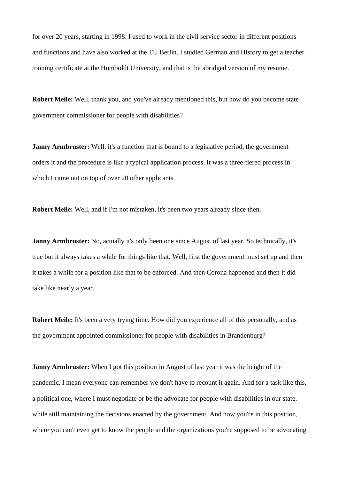for over 20 years, starting in 1998. I used to work in the civil service sector in different positions and functions and have also worked at the TU Berlin. I studied German and History to get a teacher training certificate at the Humboldt University, and that is the abridged version of my resume.

**Robert Meile:** Well, thank you, and you've already mentioned this, but how do you become state government commissioner for people with disabilities?

**Janny Armbruster:** Well, it's a function that is bound to a legislative period, the government orders it and the procedure is like a typical application process. It was a three-tiered process in which I came out on top of over 20 other applicants.

**Robert Meile:** Well, and if I'm not mistaken, it's been two years already since then.

**Janny Armbruster:** No, actually it's only been one since August of last year. So technically, it's true but it always takes a while for things like that. Well, first the government must set up and then it takes a while for a position like that to be enforced. And then Corona happened and then it did take like nearly a year.

**Robert Meile:** It's been a very trying time. How did you experience all of this personally, and as the government appointed commissioner for people with disabilities in Brandenburg?

**Janny Armbruster:** When I got this position in August of last year it was the height of the pandemic. I mean everyone can remember we don't have to recount it again. And for a task like this, a political one, where I must negotiate or be the advocate for people with disabilities in our state, while still maintaining the decisions enacted by the government. And now you're in this position, where you can't even get to know the people and the organizations you're supposed to be advocating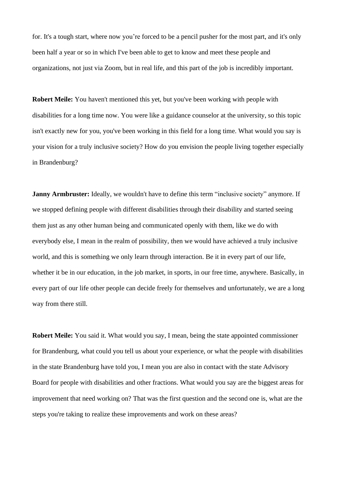for. It's a tough start, where now you're forced to be a pencil pusher for the most part, and it's only been half a year or so in which I've been able to get to know and meet these people and organizations, not just via Zoom, but in real life, and this part of the job is incredibly important.

**Robert Meile:** You haven't mentioned this yet, but you've been working with people with disabilities for a long time now. You were like a guidance counselor at the university, so this topic isn't exactly new for you, you've been working in this field for a long time. What would you say is your vision for a truly inclusive society? How do you envision the people living together especially in Brandenburg?

**Janny Armbruster:** Ideally, we wouldn't have to define this term "inclusive society" anymore. If we stopped defining people with different disabilities through their disability and started seeing them just as any other human being and communicated openly with them, like we do with everybody else, I mean in the realm of possibility, then we would have achieved a truly inclusive world, and this is something we only learn through interaction. Be it in every part of our life, whether it be in our education, in the job market, in sports, in our free time, anywhere. Basically, in every part of our life other people can decide freely for themselves and unfortunately, we are a long way from there still.

**Robert Meile:** You said it. What would you say, I mean, being the state appointed commissioner for Brandenburg, what could you tell us about your experience, or what the people with disabilities in the state Brandenburg have told you, I mean you are also in contact with the state Advisory Board for people with disabilities and other fractions. What would you say are the biggest areas for improvement that need working on? That was the first question and the second one is, what are the steps you're taking to realize these improvements and work on these areas?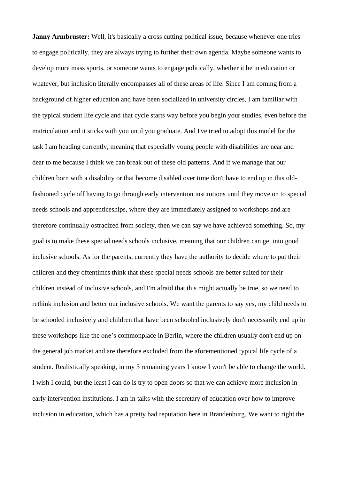**Janny Armbruster:** Well, it's basically a cross cutting political issue, because whenever one tries to engage politically, they are always trying to further their own agenda. Maybe someone wants to develop more mass sports, or someone wants to engage politically, whether it be in education or whatever, but inclusion literally encompasses all of these areas of life. Since I am coming from a background of higher education and have been socialized in university circles, I am familiar with the typical student life cycle and that cycle starts way before you begin your studies, even before the matriculation and it sticks with you until you graduate. And I've tried to adopt this model for the task I am heading currently, meaning that especially young people with disabilities are near and dear to me because I think we can break out of these old patterns. And if we manage that our children born with a disability or that become disabled over time don't have to end up in this oldfashioned cycle off having to go through early intervention institutions until they move on to special needs schools and apprenticeships, where they are immediately assigned to workshops and are therefore continually ostracized from society, then we can say we have achieved something. So, my goal is to make these special needs schools inclusive, meaning that our children can get into good inclusive schools. As for the parents, currently they have the authority to decide where to put their children and they oftentimes think that these special needs schools are better suited for their children instead of inclusive schools, and I'm afraid that this might actually be true, so we need to rethink inclusion and better our inclusive schools. We want the parents to say yes, my child needs to be schooled inclusively and children that have been schooled inclusively don't necessarily end up in these workshops like the one's commonplace in Berlin, where the children usually don't end up on the general job market and are therefore excluded from the aforementioned typical life cycle of a student. Realistically speaking, in my 3 remaining years I know I won't be able to change the world. I wish I could, but the least I can do is try to open doors so that we can achieve more inclusion in early intervention institutions. I am in talks with the secretary of education over how to improve inclusion in education, which has a pretty bad reputation here in Brandenburg. We want to right the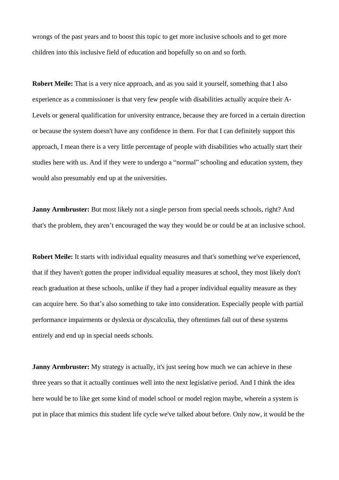wrongs of the past years and to boost this topic to get more inclusive schools and to get more children into this inclusive field of education and hopefully so on and so forth.

**Robert Meile:** That is a very nice approach, and as you said it yourself, something that I also experience as a commissioner is that very few people with disabilities actually acquire their A-Levels or general qualification for university entrance, because they are forced in a certain direction or because the system doesn't have any confidence in them. For that I can definitely support this approach, I mean there is a very little percentage of people with disabilities who actually start their studies here with us. And if they were to undergo a "normal" schooling and education system, they would also presumably end up at the universities.

**Janny Armbruster:** But most likely not a single person from special needs schools, right? And that's the problem, they aren't encouraged the way they would be or could be at an inclusive school.

**Robert Meile:** It starts with individual equality measures and that's something we've experienced, that if they haven't gotten the proper individual equality measures at school, they most likely don't reach graduation at these schools, unlike if they had a proper individual equality measure as they can acquire here. So that's also something to take into consideration. Especially people with partial performance impairments or dyslexia or dyscalculia, they oftentimes fall out of these systems entirely and end up in special needs schools.

**Janny Armbruster:** My strategy is actually, it's just seeing how much we can achieve in these three years so that it actually continues well into the next legislative period. And I think the idea here would be to like get some kind of model school or model region maybe, wherein a system is put in place that mimics this student life cycle we've talked about before. Only now, it would be the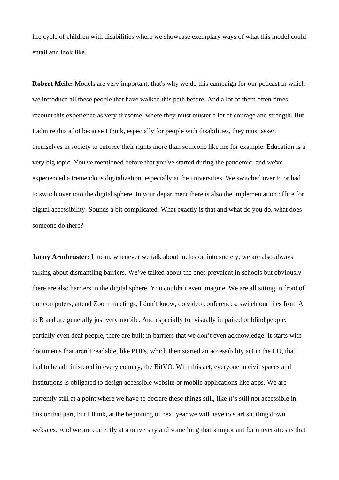life cycle of children with disabilities where we showcase exemplary ways of what this model could entail and look like.

**Robert Meile:** Models are very important, that's why we do this campaign for our podcast in which we introduce all these people that have walked this path before. And a lot of them often times recount this experience as very tiresome, where they must muster a lot of courage and strength. But I admire this a lot because I think, especially for people with disabilities, they must assert themselves in society to enforce their rights more than someone like me for example. Education is a very big topic. You've mentioned before that you've started during the pandemic, and we've experienced a tremendous digitalization, especially at the universities. We switched over to or had to switch over into the digital sphere. In your department there is also the implementation office for digital accessibility. Sounds a bit complicated. What exactly is that and what do you do, what does someone do there?

**Janny Armbruster:** I mean, whenever we talk about inclusion into society, we are also always talking about dismantling barriers. We've talked about the ones prevalent in schools but obviously there are also barriers in the digital sphere. You couldn't even imagine. We are all sitting in front of our computers, attend Zoom meetings, I don't know, do video conferences, switch our files from A to B and are generally just very mobile. And especially for visually impaired or blind people, partially even deaf people, there are built in barriers that we don't even acknowledge. It starts with documents that aren't readable, like PDFs, which then started an accessibility act in the EU, that had to be administered in every country, the BitVO. With this act, everyone in civil spaces and institutions is obligated to design accessible website or mobile applications like apps. We are currently still at a point where we have to declare these things still, like it's still not accessible in this or that part, but I think, at the beginning of next year we will have to start shutting down websites. And we are currently at a university and something that's important for universities is that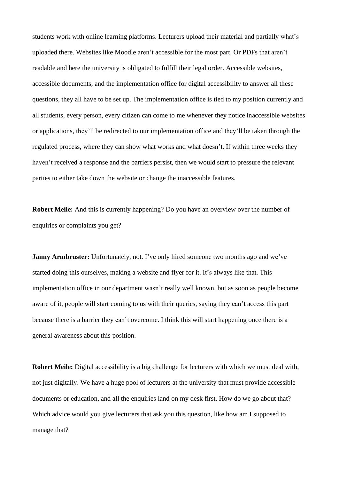students work with online learning platforms. Lecturers upload their material and partially what's uploaded there. Websites like Moodle aren't accessible for the most part. Or PDFs that aren't readable and here the university is obligated to fulfill their legal order. Accessible websites, accessible documents, and the implementation office for digital accessibility to answer all these questions, they all have to be set up. The implementation office is tied to my position currently and all students, every person, every citizen can come to me whenever they notice inaccessible websites or applications, they'll be redirected to our implementation office and they'll be taken through the regulated process, where they can show what works and what doesn't. If within three weeks they haven't received a response and the barriers persist, then we would start to pressure the relevant parties to either take down the website or change the inaccessible features.

**Robert Meile:** And this is currently happening? Do you have an overview over the number of enquiries or complaints you get?

**Janny Armbruster:** Unfortunately, not. I've only hired someone two months ago and we've started doing this ourselves, making a website and flyer for it. It's always like that. This implementation office in our department wasn't really well known, but as soon as people become aware of it, people will start coming to us with their queries, saying they can't access this part because there is a barrier they can't overcome. I think this will start happening once there is a general awareness about this position.

**Robert Meile:** Digital accessibility is a big challenge for lecturers with which we must deal with, not just digitally. We have a huge pool of lecturers at the university that must provide accessible documents or education, and all the enquiries land on my desk first. How do we go about that? Which advice would you give lecturers that ask you this question, like how am I supposed to manage that?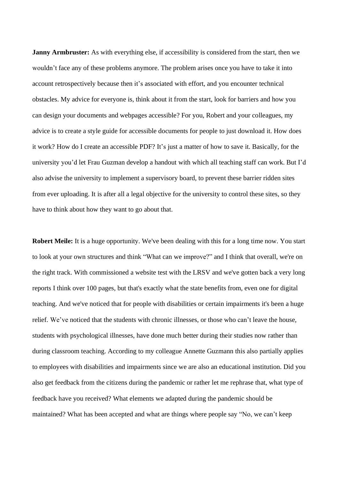**Janny Armbruster:** As with everything else, if accessibility is considered from the start, then we wouldn't face any of these problems anymore. The problem arises once you have to take it into account retrospectively because then it's associated with effort, and you encounter technical obstacles. My advice for everyone is, think about it from the start, look for barriers and how you can design your documents and webpages accessible? For you, Robert and your colleagues, my advice is to create a style guide for accessible documents for people to just download it. How does it work? How do I create an accessible PDF? It's just a matter of how to save it. Basically, for the university you'd let Frau Guzman develop a handout with which all teaching staff can work. But I'd also advise the university to implement a supervisory board, to prevent these barrier ridden sites from ever uploading. It is after all a legal objective for the university to control these sites, so they have to think about how they want to go about that.

**Robert Meile:** It is a huge opportunity. We've been dealing with this for a long time now. You start to look at your own structures and think "What can we improve?" and I think that overall, we're on the right track. With commissioned a website test with the LRSV and we've gotten back a very long reports I think over 100 pages, but that's exactly what the state benefits from, even one for digital teaching. And we've noticed that for people with disabilities or certain impairments it's been a huge relief. We've noticed that the students with chronic illnesses, or those who can't leave the house, students with psychological illnesses, have done much better during their studies now rather than during classroom teaching. According to my colleague Annette Guzmann this also partially applies to employees with disabilities and impairments since we are also an educational institution. Did you also get feedback from the citizens during the pandemic or rather let me rephrase that, what type of feedback have you received? What elements we adapted during the pandemic should be maintained? What has been accepted and what are things where people say "No, we can't keep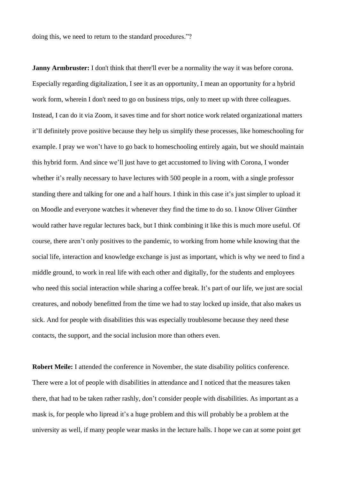doing this, we need to return to the standard procedures."?

**Janny Armbruster:** I don't think that there'll ever be a normality the way it was before corona. Especially regarding digitalization, I see it as an opportunity, I mean an opportunity for a hybrid work form, wherein I don't need to go on business trips, only to meet up with three colleagues. Instead, I can do it via Zoom, it saves time and for short notice work related organizational matters it'll definitely prove positive because they help us simplify these processes, like homeschooling for example. I pray we won't have to go back to homeschooling entirely again, but we should maintain this hybrid form. And since we'll just have to get accustomed to living with Corona, I wonder whether it's really necessary to have lectures with 500 people in a room, with a single professor standing there and talking for one and a half hours. I think in this case it's just simpler to upload it on Moodle and everyone watches it whenever they find the time to do so. I know Oliver Günther would rather have regular lectures back, but I think combining it like this is much more useful. Of course, there aren't only positives to the pandemic, to working from home while knowing that the social life, interaction and knowledge exchange is just as important, which is why we need to find a middle ground, to work in real life with each other and digitally, for the students and employees who need this social interaction while sharing a coffee break. It's part of our life, we just are social creatures, and nobody benefitted from the time we had to stay locked up inside, that also makes us sick. And for people with disabilities this was especially troublesome because they need these contacts, the support, and the social inclusion more than others even.

**Robert Meile:** I attended the conference in November, the state disability politics conference. There were a lot of people with disabilities in attendance and I noticed that the measures taken there, that had to be taken rather rashly, don't consider people with disabilities. As important as a mask is, for people who lipread it's a huge problem and this will probably be a problem at the university as well, if many people wear masks in the lecture halls. I hope we can at some point get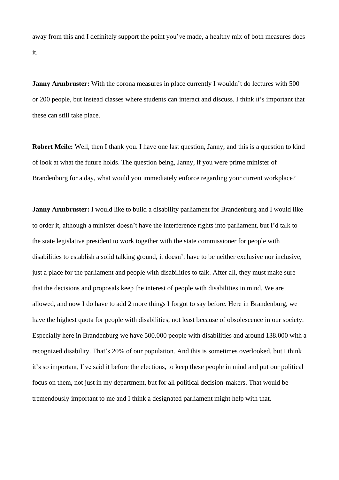away from this and I definitely support the point you've made, a healthy mix of both measures does it.

**Janny Armbruster:** With the corona measures in place currently I wouldn't do lectures with 500 or 200 people, but instead classes where students can interact and discuss. I think it's important that these can still take place.

**Robert Meile:** Well, then I thank you. I have one last question, Janny, and this is a question to kind of look at what the future holds. The question being, Janny, if you were prime minister of Brandenburg for a day, what would you immediately enforce regarding your current workplace?

**Janny Armbruster:** I would like to build a disability parliament for Brandenburg and I would like to order it, although a minister doesn't have the interference rights into parliament, but I'd talk to the state legislative president to work together with the state commissioner for people with disabilities to establish a solid talking ground, it doesn't have to be neither exclusive nor inclusive, just a place for the parliament and people with disabilities to talk. After all, they must make sure that the decisions and proposals keep the interest of people with disabilities in mind. We are allowed, and now I do have to add 2 more things I forgot to say before. Here in Brandenburg, we have the highest quota for people with disabilities, not least because of obsolescence in our society. Especially here in Brandenburg we have 500.000 people with disabilities and around 138.000 with a recognized disability. That's 20% of our population. And this is sometimes overlooked, but I think it's so important, I've said it before the elections, to keep these people in mind and put our political focus on them, not just in my department, but for all political decision-makers. That would be tremendously important to me and I think a designated parliament might help with that.